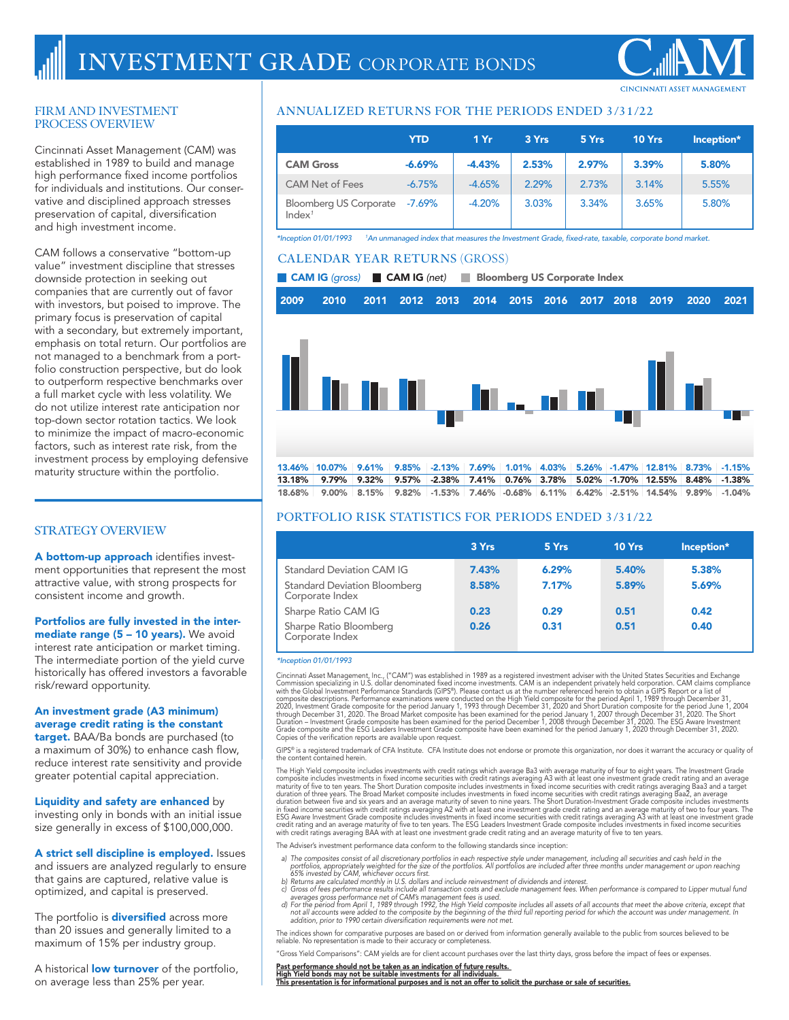## FIRM AND INVESTMENT PROCESS OVERVIEW

Cincinnati Asset Management (CAM) was established in 1989 to build and manage high performance fixed income portfolios for individuals and institutions. Our conservative and disciplined approach stresses preservation of capital, diversification and high investment income.

CAM follows a conservative "bottom-up value" investment discipline that stresses downside protection in seeking out companies that are currently out of favor with investors, but poised to improve. The primary focus is preservation of capital with a secondary, but extremely important, emphasis on total return. Our portfolios are not managed to a benchmark from a portfolio construction perspective, but do look to outperform respective benchmarks over a full market cycle with less volatility. We do not utilize interest rate anticipation nor top-down sector rotation tactics. We look to minimize the impact of macro-economic factors, such as interest rate risk, from the investment process by employing defensive maturity structure within the portfolio.

# **STRATEGY OVERVIEW**

A bottom-up approach identifies investment opportunities that represent the most attractive value, with strong prospects for consistent income and growth.

### Portfolios are fully invested in the intermediate range (5 - 10 years). We avoid

interest rate anticipation or market timing. The intermediate portion of the yield curve historically has offered investors a favorable risk/reward opportunity.

# An investment grade (A3 minimum) average credit rating is the constant

target. BAA/Ba bonds are purchased (to a maximum of 30%) to enhance cash flow, reduce interest rate sensitivity and provide greater potential capital appreciation.

Liquidity and safety are enhanced by investing only in bonds with an initial issue size generally in excess of \$100,000,000.

A strict sell discipline is employed. Issues

and issuers are analyzed regularly to ensure that gains are captured, relative value is optimized, and capital is preserved.

The portfolio is **diversified** across more than 20 issues and generally limited to a maximum of 15% per industry group.

A historical **low turnover** of the portfolio, on average less than 25% per year.

# **ANNUALIZED RETURNS FOR THE PERIODS ENDED 3/31/22**

|                                              | <b>YTD</b> | 1Yr      | 3 Yrs | 5 Yrs | 10 Yrs | Inception* |
|----------------------------------------------|------------|----------|-------|-------|--------|------------|
| <b>CAM Gross</b>                             | $-6.69%$   | $-4.43%$ | 2.53% | 2.97% | 3.39%  | 5.80%      |
| <b>CAM Net of Fees</b>                       | $-6.75%$   | $-4.65%$ | 2.29% | 2.73% | 3.14%  | 5.55%      |
| Bloomberg US Corporate<br>Index <sup>1</sup> | $-7.69\%$  | $-4.20%$ | 3.03% | 3.34% | 3.65%  | 5.80%      |

*\*Inception 01/01/1993 1 An unmanaged index that measures the Investment Grade, fixed-rate, taxable, corporate bond market.*

# **CALENDAR YEAR RETURNS** (GROSS)

■ CAM IG (gross) ■ CAM IG (net) ■ Bloomberg US Corporate Index

| 2009 2010 2011 2012 2013 2014 2015 2016 2017 2018 2019 2020 2021 |  |  |  |  |  |  |
|------------------------------------------------------------------|--|--|--|--|--|--|
|                                                                  |  |  |  |  |  |  |



18.68% 9.00% 8.15% 9.82% -1.53% 7.46% -0.68% 6.11% 6.42% -2.51% 14.54% 9.89% -1.04%

# **PORTFOLIO RISK STATISTICS FOR PERIODS ENDED 3/31/22**

|                                                                                            | 3 Yrs          | 5 Yrs          | 10 Yrs         | Inception*     |
|--------------------------------------------------------------------------------------------|----------------|----------------|----------------|----------------|
| <b>Standard Deviation CAM IG</b><br><b>Standard Deviation Bloomberg</b><br>Corporate Index | 7.43%<br>8.58% | 6.29%<br>7.17% | 5.40%<br>5.89% | 5.38%<br>5.69% |
| Sharpe Ratio CAM IG<br>Sharpe Ratio Bloomberg<br>Corporate Index                           | 0.23<br>0.26   | 0.29<br>0.31   | 0.51<br>0.51   | 0.42<br>0.40   |

#### *\*Inception 01/01/1993*

Cincinnati Asset Management, Inc., ("CAM") was established in 1989 as a registered investment adviser with the United States Securities and Exchange<br>Commission specializing in U.S. dollar denominated fixed income investmen 2020, Investment Grade composite for the period January 1, 1993 through December 31, 2020 and Short Duration composite for the period June 1, 2004<br>through December 31, 2020. The Broad Market composite has been examined for Grade composite and the ESG Leaders Investment Grade composite have been examined for the period January 1, 2020 through December 31, 2020.<br>Copies of the verification reports are available upon request.

GIPS® is a registered trademark of CFA Institute. CFA Institute does not endorse or promote this organization, nor does it warrant the accuracy or quality of<br>the content contained herein.

The High Yield composite includes investments with credit ratings which average Ba3 with average maturity of four to eight years. The Investment Grade<br>composite includes investments in fixed income securities with credit r

The Adviser's investment performance data conform to the following standards since inception:

- a) The composites consist of all discretionary portfolios in each respective style under management, including all securities and cash held in the<br>portfolios, appropriately weighted for the size of the portfolios. All port
- 
- 
- 

The indices shown for comparative purposes are based on or derived from information generally available to the public from sources believed to be reliable. No representation is made to their accuracy or completeness.

"Gross Yield Comparisons": CAM yields are for client account purchases over the last thirty days, gross before the impact of fees or expenses.

Past performance should not be taken as an indication of future results.<br><u>High Yield bonds may not be suitable investments for all individuals.</u><br>This presentation is for informational purposes and is not an offer to solici